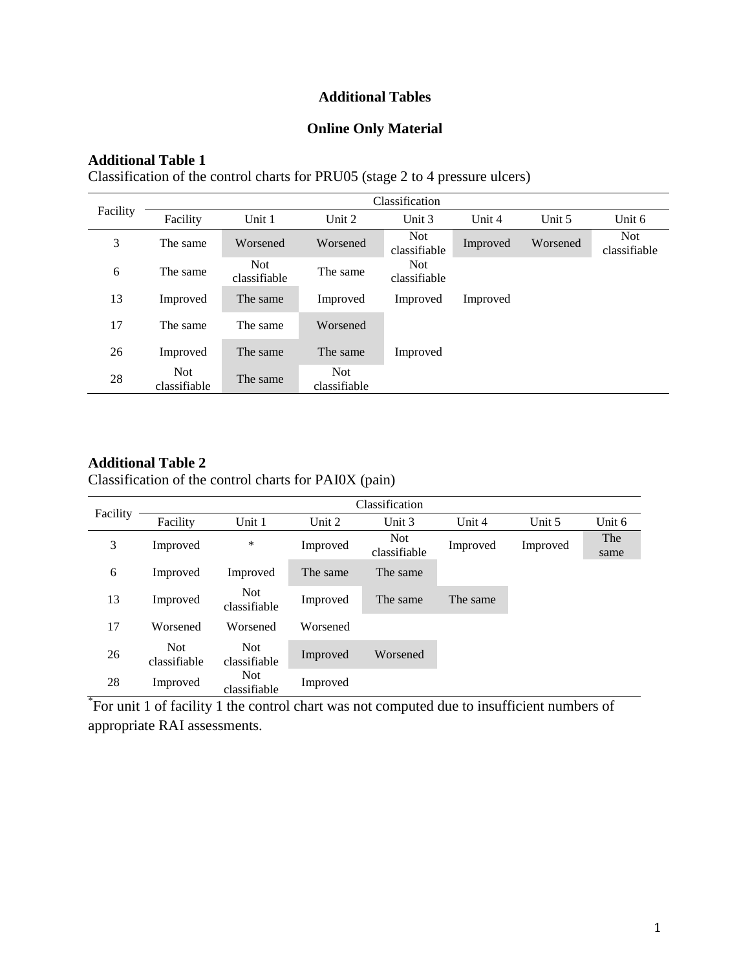# **Additional Tables**

## **Online Only Material**

#### **Additional Table 1**

Classification of the control charts for PRU05 (stage 2 to 4 pressure ulcers)

|          | Classification             |                            |                            |                            |          |          |                            |  |
|----------|----------------------------|----------------------------|----------------------------|----------------------------|----------|----------|----------------------------|--|
| Facility | Facility                   | Unit 1                     | Unit 2                     | Unit $3$                   | Unit $4$ | Unit $5$ | Unit 6                     |  |
| 3        | The same                   | Worsened                   | Worsened                   | <b>Not</b><br>classifiable | Improved | Worsened | <b>Not</b><br>classifiable |  |
| 6        | The same                   | <b>Not</b><br>classifiable | The same                   | <b>Not</b><br>classifiable |          |          |                            |  |
| 13       | Improved                   | The same                   | Improved                   | Improved                   | Improved |          |                            |  |
| 17       | The same                   | The same                   | Worsened                   |                            |          |          |                            |  |
| 26       | Improved                   | The same                   | The same                   | Improved                   |          |          |                            |  |
| 28       | <b>Not</b><br>classifiable | The same                   | <b>Not</b><br>classifiable |                            |          |          |                            |  |

### **Additional Table 2**

Classification of the control charts for PAI0X (pain)

|          | Classification             |                            |          |                            |          |          |             |  |
|----------|----------------------------|----------------------------|----------|----------------------------|----------|----------|-------------|--|
| Facility | Facility                   | Unit 1                     | Unit 2   | Unit 3                     | Unit 4   | Unit 5   | Unit 6      |  |
| 3        | Improved                   | *                          | Improved | <b>Not</b><br>classifiable | Improved | Improved | The<br>same |  |
| 6        | Improved                   | Improved                   | The same | The same                   |          |          |             |  |
| 13       | Improved                   | <b>Not</b><br>classifiable | Improved | The same                   | The same |          |             |  |
| 17       | Worsened                   | Worsened                   | Worsened |                            |          |          |             |  |
| 26       | <b>Not</b><br>classifiable | <b>Not</b><br>classifiable | Improved | Worsened                   |          |          |             |  |
| 28       | Improved                   | <b>Not</b><br>classifiable | Improved |                            |          |          |             |  |

\* For unit 1 of facility 1 the control chart was not computed due to insufficient numbers of appropriate RAI assessments.